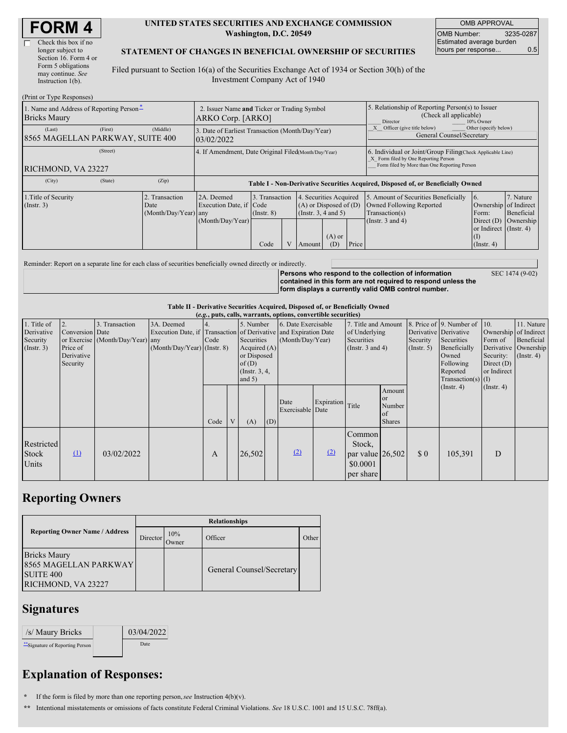| <b>FORM 4</b> |
|---------------|
|---------------|

| Check this box if no  |
|-----------------------|
| longer subject to     |
| Section 16. Form 4 or |
| Form 5 obligations    |
| may continue. See     |
| Instruction $1(b)$ .  |

 $(Print or True Des)$ 

#### **UNITED STATES SECURITIES AND EXCHANGE COMMISSION Washington, D.C. 20549**

OMB APPROVAL OMB Number: 3235-0287 Estimated average burden hours per response... 0.5

#### **STATEMENT OF CHANGES IN BENEFICIAL OWNERSHIP OF SECURITIES**

Filed pursuant to Section 16(a) of the Securities Exchange Act of 1934 or Section 30(h) of the Investment Company Act of 1940

| $1 \text{ min} \text{ of } 1 \text{ ypc}$ responses                                                                                 |                                                                  |                                             |                                                                                  |                                   |                |                                                                      |                                                                                                     |       |                                                                                                                                                                      |                                                |                                      |  |
|-------------------------------------------------------------------------------------------------------------------------------------|------------------------------------------------------------------|---------------------------------------------|----------------------------------------------------------------------------------|-----------------------------------|----------------|----------------------------------------------------------------------|-----------------------------------------------------------------------------------------------------|-------|----------------------------------------------------------------------------------------------------------------------------------------------------------------------|------------------------------------------------|--------------------------------------|--|
| 1. Name and Address of Reporting Person-<br><b>Bricks Maury</b>                                                                     | 2. Issuer Name and Ticker or Trading Symbol<br>ARKO Corp. [ARKO] |                                             |                                                                                  |                                   |                |                                                                      | 5. Relationship of Reporting Person(s) to Issuer<br>(Check all applicable)<br>Director<br>10% Owner |       |                                                                                                                                                                      |                                                |                                      |  |
| (Middle)<br>(First)<br>(Last)<br>3. Date of Earliest Transaction (Month/Day/Year)<br>8565 MAGELLAN PARKWAY, SUITE 400<br>03/02/2022 |                                                                  |                                             |                                                                                  |                                   |                |                                                                      |                                                                                                     |       | Other (specify below)<br>Officer (give title below)<br>General Counsel/Secretary                                                                                     |                                                |                                      |  |
| (Street)<br>RICHMOND, VA 23227                                                                                                      |                                                                  |                                             | 4. If Amendment, Date Original Filed Month/Day/Year)                             |                                   |                |                                                                      |                                                                                                     |       | 6. Individual or Joint/Group Filing(Check Applicable Line)<br>X Form filed by One Reporting Person<br>Form filed by More than One Reporting Person                   |                                                |                                      |  |
| (City)                                                                                                                              | (State)                                                          | (Zip)                                       | Table I - Non-Derivative Securities Acquired, Disposed of, or Beneficially Owned |                                   |                |                                                                      |                                                                                                     |       |                                                                                                                                                                      |                                                |                                      |  |
| 1. Title of Security<br>$($ Instr. 3 $)$                                                                                            |                                                                  | Transaction<br>Date<br>(Month/Day/Year) any | 2A. Deemed<br>Execution Date, if Code<br>(Month/Day/Year)                        | 3. Transaction<br>$($ Instr. $8)$ |                | $\overline{4}$<br>$(A)$ or Disposed of $(D)$<br>(Insert. 3, 4 and 5) | . Securities Acquired                                                                               |       | 5. Amount of Securities Beneficially<br>16.<br>Owned Following Reported<br>Ownership of Indirect<br>Transaction(s)<br>Form:<br>(Instr. $3$ and $4$ )<br>Direct $(D)$ |                                                | 7. Nature<br>Beneficial<br>Ownership |  |
|                                                                                                                                     |                                                                  |                                             |                                                                                  | Code                              | $\overline{V}$ | Amount                                                               | $(A)$ or<br>(D)                                                                                     | Price |                                                                                                                                                                      | or Indirect (Instr. 4)<br>(I)<br>$($ Instr. 4) |                                      |  |

Reminder: Report on a separate line for each class of securities beneficially owned directly or indirectly.

**Persons who respond to the collection of information contained in this form are not required to respond unless the form displays a currently valid OMB control number.** SEC 1474 (9-02)

**Table II - Derivative Securities Acquired, Disposed of, or Beneficially Owned**

|                                                           | (e.g., puts, calls, warrants, options, convertible securities) |                                                    |                                                                                                                 |      |   |                                                                                                |     |                          |                                         |                                                                                |                                                                                |     |                         |                                                                                                                                                               |                                                                              |                                                                      |
|-----------------------------------------------------------|----------------------------------------------------------------|----------------------------------------------------|-----------------------------------------------------------------------------------------------------------------|------|---|------------------------------------------------------------------------------------------------|-----|--------------------------|-----------------------------------------|--------------------------------------------------------------------------------|--------------------------------------------------------------------------------|-----|-------------------------|---------------------------------------------------------------------------------------------------------------------------------------------------------------|------------------------------------------------------------------------------|----------------------------------------------------------------------|
| 1. Title of<br>Derivative<br>Security<br>$($ Instr. 3 $)$ | 2.<br>Conversion Date<br>Price of<br>Derivative<br>Security    | 3. Transaction<br>or Exercise (Month/Day/Year) any | 3A. Deemed<br>Execution Date, if Transaction of Derivative and Expiration Date<br>$(Month/Day/Year)$ (Instr. 8) | Code |   | 5. Number<br>Securities<br>Acquired $(A)$<br>or Disposed<br>of(D)<br>(Instr. 3, 4,<br>and $5)$ |     |                          | 6. Date Exercisable<br>(Month/Day/Year) |                                                                                | 7. Title and Amount<br>of Underlying<br><b>Securities</b><br>(Insert. 3 and 4) |     | Security<br>(Insert. 5) | 8. Price of $\vert$ 9. Number of $\vert$ 10.<br>Derivative Derivative<br>Securities<br>Beneficially<br>Owned<br>Following<br>Reported<br>$Transaction(s)$ (I) | Ownership of Indirect<br>Form of<br>Security:<br>Direct $(D)$<br>or Indirect | 11. Nature<br>Beneficial<br>Derivative Ownership<br>$($ Instr. 4 $)$ |
|                                                           |                                                                |                                                    |                                                                                                                 | Code | V | (A)                                                                                            | (D) | Date<br>Exercisable Date | Expiration                              | Title                                                                          | Amount<br>or<br>Number<br>of<br><b>Shares</b>                                  |     | $($ Instr. 4 $)$        | $($ Instr. 4 $)$                                                                                                                                              |                                                                              |                                                                      |
| <b>Restricted</b><br>Stock<br>Units                       | $\mathbf{u}$                                                   | 03/02/2022                                         |                                                                                                                 | A    |   | 26,502                                                                                         |     | (2)                      | (2)                                     | Common<br>Stock,<br>par value $\left  26,502 \right $<br>\$0.0001<br>per share |                                                                                | \$0 | 105,391                 | D                                                                                                                                                             |                                                                              |                                                                      |

### **Reporting Owners**

|                                                                                               | <b>Relationships</b> |              |                           |       |  |  |  |  |  |  |
|-----------------------------------------------------------------------------------------------|----------------------|--------------|---------------------------|-------|--|--|--|--|--|--|
| <b>Reporting Owner Name / Address</b>                                                         | Director             | 10%<br>Jwner | Officer                   | Other |  |  |  |  |  |  |
| <b>Bricks Maury</b><br><b>8565 MAGELLAN PARKWAY</b><br><b>SUITE 400</b><br>RICHMOND, VA 23227 |                      |              | General Counsel/Secretary |       |  |  |  |  |  |  |

## **Signatures**

| /s/ Maury Bricks               | 03/04/2022 |
|--------------------------------|------------|
| "Signature of Reporting Person | Date       |

# **Explanation of Responses:**

**\*** If the form is filed by more than one reporting person,*see* Instruction 4(b)(v).

**\*\*** Intentional misstatements or omissions of facts constitute Federal Criminal Violations. *See* 18 U.S.C. 1001 and 15 U.S.C. 78ff(a).